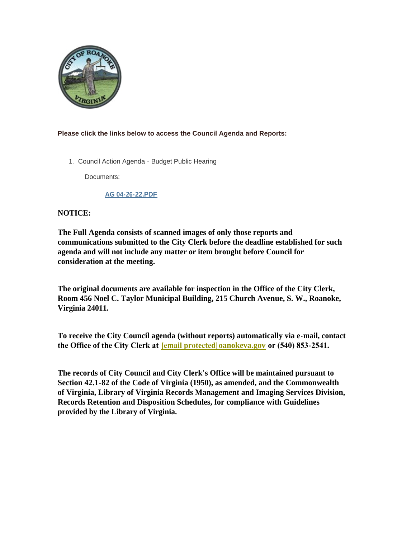

#### **Please click the links below to access the Council Agenda and Reports:**

1. Council Action Agenda - Budget Public Hearing

Documents:

#### **AG 04-26-22.PDF**

#### **NOTICE:**

**The Full Agenda consists of scanned images of only those reports and communications submitted to the City Clerk before the deadline established for such agenda and will not include any matter or item brought before Council for consideration at the meeting.**

**The original documents are available for inspection in the Office of the City Clerk, Room 456 Noel C. Taylor Municipal Building, 215 Church Avenue, S. W., Roanoke, Virginia 24011.**

**To receive the City Council agenda (without reports) automatically via e-mail, contact the Office of the City Clerk at [\[email protected\]](https://www.roanokeva.gov/cdn-cgi/l/email-protection#9dfef1f8eff6ddeff2fcf3f2f6f8ebfcb3faf2eb)oanokeva.gov or (540) 853-2541.** 

**The records of City Council and City Clerk's Office will be maintained pursuant to Section 42.1-82 of the Code of Virginia (1950), as amended, and the Commonwealth of Virginia, Library of Virginia Records Management and Imaging Services Division, Records Retention and Disposition Schedules, for compliance with Guidelines provided by the Library of Virginia.**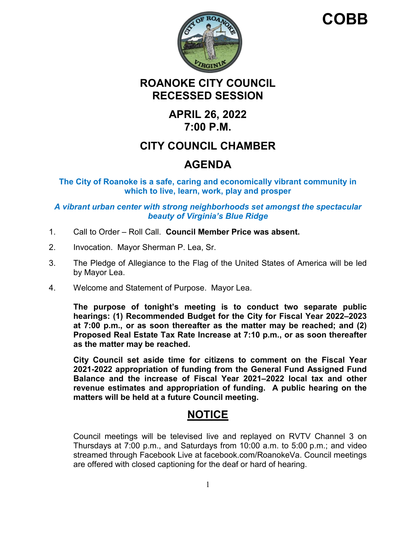

# **COBB**

## **ROANOKE CITY COUNCIL RECESSED SESSION**

## **APRIL 26, 2022 7:00 P.M.**

## **CITY COUNCIL CHAMBER**

# **AGENDA**

**The City of Roanoke is a safe, caring and economically vibrant community in which to live, learn, work, play and prosper**

### *A vibrant urban center with strong neighborhoods set amongst the spectacular beauty of Virginia's Blue Ridge*

- 1. Call to Order Roll Call. **Council Member Price was absent.**
- 2. Invocation. Mayor Sherman P. Lea, Sr.
- 3. The Pledge of Allegiance to the Flag of the United States of America will be led by Mayor Lea.
- 4. Welcome and Statement of Purpose. Mayor Lea.

**The purpose of tonight's meeting is to conduct two separate public hearings: (1) Recommended Budget for the City for Fiscal Year 2022–2023 at 7:00 p.m., or as soon thereafter as the matter may be reached; and (2) Proposed Real Estate Tax Rate Increase at 7:10 p.m., or as soon thereafter as the matter may be reached.** 

**City Council set aside time for citizens to comment on the Fiscal Year 2021-2022 appropriation of funding from the General Fund Assigned Fund Balance and the increase of Fiscal Year 2021–2022 local tax and other revenue estimates and appropriation of funding. A public hearing on the matters will be held at a future Council meeting.** 

## **NOTICE**

Council meetings will be televised live and replayed on RVTV Channel 3 on Thursdays at 7:00 p.m., and Saturdays from 10:00 a.m. to 5:00 p.m.; and video streamed through Facebook Live at facebook.com/RoanokeVa. Council meetings are offered with closed captioning for the deaf or hard of hearing.